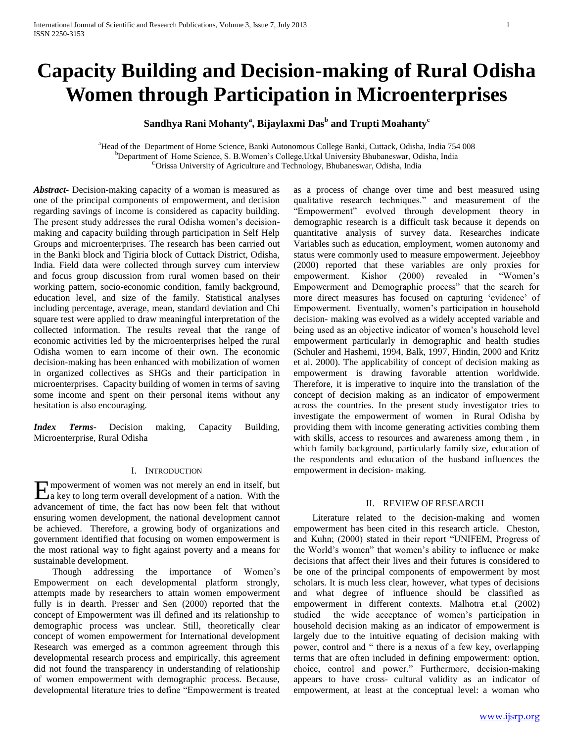# **Capacity Building and Decision-making of Rural Odisha Women through Participation in Microenterprises**

# **Sandhya Rani Mohanty<sup>a</sup> , Bijaylaxmi Das<sup>b</sup> and Trupti Moahanty<sup>c</sup>**

<sup>a</sup>Head of the Department of Home Science, Banki Autonomous College Banki, Cuttack, Odisha, India 754 008 <sup>b</sup>Department of Home Science, S. B. Women's College, Utkal University Bhubaneswar, Odisha, India <sup>C</sup>Orissa University of Agriculture and Technology, Bhubaneswar, Odisha, India

*Abstract***-** Decision-making capacity of a woman is measured as one of the principal components of empowerment, and decision regarding savings of income is considered as capacity building. The present study addresses the rural Odisha women's decisionmaking and capacity building through participation in Self Help Groups and microenterprises. The research has been carried out in the Banki block and Tigiria block of Cuttack District, Odisha, India. Field data were collected through survey cum interview and focus group discussion from rural women based on their working pattern, socio-economic condition, family background, education level, and size of the family. Statistical analyses including percentage, average, mean, standard deviation and Chi square test were applied to draw meaningful interpretation of the collected information. The results reveal that the range of economic activities led by the microenterprises helped the rural Odisha women to earn income of their own. The economic decision-making has been enhanced with mobilization of women in organized collectives as SHGs and their participation in microenterprises. Capacity building of women in terms of saving some income and spent on their personal items without any hesitation is also encouraging.

*Index Terms*- Decision making, Capacity Building, Microenterprise, Rural Odisha

#### I. INTRODUCTION

mpowerment of women was not merely an end in itself, but Empowerment of women was not merely an end in itself, but<br>a key to long term overall development of a nation. With the advancement of time, the fact has now been felt that without ensuring women development, the national development cannot be achieved. Therefore, a growing body of organizations and government identified that focusing on women empowerment is the most rational way to fight against poverty and a means for sustainable development.

 Though addressing the importance of Women"s Empowerment on each developmental platform strongly, attempts made by researchers to attain women empowerment fully is in dearth. Presser and Sen (2000) reported that the concept of Empowerment was ill defined and its relationship to demographic process was unclear. Still, theoretically clear concept of women empowerment for International development Research was emerged as a common agreement through this developmental research process and empirically, this agreement did not found the transparency in understanding of relationship of women empowerment with demographic process. Because, developmental literature tries to define "Empowerment is treated as a process of change over time and best measured using qualitative research techniques." and measurement of the "Empowerment" evolved through development theory in demographic research is a difficult task because it depends on quantitative analysis of survey data. Researches indicate Variables such as education, employment, women autonomy and status were commonly used to measure empowerment. Jejeebhoy (2000) reported that these variables are only proxies for empowerment. Kishor (2000) revealed in "Women"s Empowerment and Demographic process" that the search for more direct measures has focused on capturing "evidence" of Empowerment. Eventually, women"s participation in household decision- making was evolved as a widely accepted variable and being used as an objective indicator of women"s household level empowerment particularly in demographic and health studies (Schuler and Hashemi, 1994, Balk, 1997, Hindin, 2000 and Kritz et al. 2000). The applicability of concept of decision making as empowerment is drawing favorable attention worldwide. Therefore, it is imperative to inquire into the translation of the concept of decision making as an indicator of empowerment across the countries. In the present study investigator tries to investigate the empowerment of women in Rural Odisha by providing them with income generating activities combing them with skills, access to resources and awareness among them , in which family background, particularly family size, education of the respondents and education of the husband influences the empowerment in decision- making.

#### II. REVIEW OF RESEARCH

 Literature related to the decision-making and women empowerment has been cited in this research article. Cheston, and Kuhn; (2000) stated in their report "UNIFEM, Progress of the World"s women" that women"s ability to influence or make decisions that affect their lives and their futures is considered to be one of the principal components of empowerment by most scholars. It is much less clear, however, what types of decisions and what degree of influence should be classified as empowerment in different contexts. Malhotra et.al (2002) studied the wide acceptance of women"s participation in household decision making as an indicator of empowerment is largely due to the intuitive equating of decision making with power, control and " there is a nexus of a few key, overlapping terms that are often included in defining empowerment: option, choice, control and power." Furthermore, decision-making appears to have cross- cultural validity as an indicator of empowerment, at least at the conceptual level: a woman who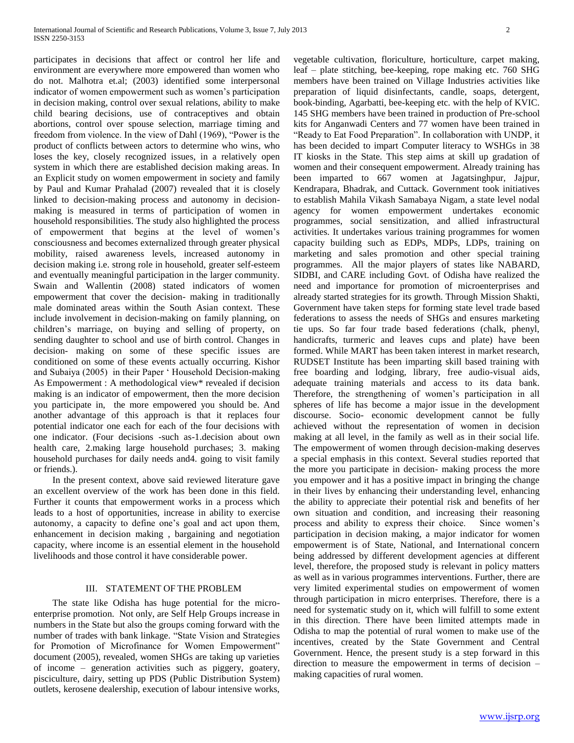participates in decisions that affect or control her life and environment are everywhere more empowered than women who do not. Malhotra et.al; (2003) identified some interpersonal indicator of women empowerment such as women"s participation in decision making, control over sexual relations, ability to make child bearing decisions, use of contraceptives and obtain abortions, control over spouse selection, marriage timing and freedom from violence. In the view of Dahl (1969), "Power is the product of conflicts between actors to determine who wins, who loses the key, closely recognized issues, in a relatively open system in which there are established decision making areas. In an Explicit study on women empowerment in society and family by Paul and Kumar Prahalad (2007) revealed that it is closely linked to decision-making process and autonomy in decisionmaking is measured in terms of participation of women in household responsibilities. The study also highlighted the process of empowerment that begins at the level of women"s consciousness and becomes externalized through greater physical mobility, raised awareness levels, increased autonomy in decision making i.e. strong role in household, greater self-esteem and eventually meaningful participation in the larger community. Swain and Wallentin (2008) stated indicators of women empowerment that cover the decision- making in traditionally male dominated areas within the South Asian context. These include involvement in decision-making on family planning, on children"s marriage, on buying and selling of property, on sending daughter to school and use of birth control. Changes in decision- making on some of these specific issues are conditioned on some of these events actually occurring. Kishor and Subaiya (2005) in their Paper " Household Decision-making As Empowerment : A methodological view\* revealed if decision making is an indicator of empowerment, then the more decision you participate in, the more empowered you should be. And another advantage of this approach is that it replaces four potential indicator one each for each of the four decisions with one indicator. (Four decisions -such as-1.decision about own health care, 2.making large household purchases; 3. making household purchases for daily needs and4. going to visit family or friends.).

 In the present context, above said reviewed literature gave an excellent overview of the work has been done in this field. Further it counts that empowerment works in a process which leads to a host of opportunities, increase in ability to exercise autonomy, a capacity to define one"s goal and act upon them, enhancement in decision making , bargaining and negotiation capacity, where income is an essential element in the household livelihoods and those control it have considerable power.

# III. STATEMENT OF THE PROBLEM

 The state like Odisha has huge potential for the microenterprise promotion. Not only, are Self Help Groups increase in numbers in the State but also the groups coming forward with the number of trades with bank linkage. "State Vision and Strategies for Promotion of Microfinance for Women Empowerment" document (2005), revealed, women SHGs are taking up varieties of income – generation activities such as piggery, goatery, pisciculture, dairy, setting up PDS (Public Distribution System) outlets, kerosene dealership, execution of labour intensive works,

vegetable cultivation, floriculture, horticulture, carpet making, leaf – plate stitching, bee-keeping, rope making etc. 760 SHG members have been trained on Village Industries activities like preparation of liquid disinfectants, candle, soaps, detergent, book-binding, Agarbatti, bee-keeping etc. with the help of KVIC. 145 SHG members have been trained in production of Pre-school kits for Anganwadi Centers and 77 women have been trained in "Ready to Eat Food Preparation". In collaboration with UNDP, it has been decided to impart Computer literacy to WSHGs in 38 IT kiosks in the State. This step aims at skill up gradation of women and their consequent empowerment. Already training has been imparted to 667 women at Jagatsinghpur, Jajpur, Kendrapara, Bhadrak, and Cuttack. Government took initiatives to establish Mahila Vikash Samabaya Nigam, a state level nodal agency for women empowerment undertakes economic programmes, social sensitization, and allied infrastructural activities. It undertakes various training programmes for women capacity building such as EDPs, MDPs, LDPs, training on marketing and sales promotion and other special training programmes. All the major players of states like NABARD, SIDBI, and CARE including Govt. of Odisha have realized the need and importance for promotion of microenterprises and already started strategies for its growth. Through Mission Shakti, Government have taken steps for forming state level trade based federations to assess the needs of SHGs and ensures marketing tie ups. So far four trade based federations (chalk, phenyl, handicrafts, turmeric and leaves cups and plate) have been formed. While MART has been taken interest in market research, RUDSET Institute has been imparting skill based training with free boarding and lodging, library, free audio-visual aids, adequate training materials and access to its data bank. Therefore, the strengthening of women"s participation in all spheres of life has become a major issue in the development discourse. Socio- economic development cannot be fully achieved without the representation of women in decision making at all level, in the family as well as in their social life. The empowerment of women through decision-making deserves a special emphasis in this context. Several studies reported that the more you participate in decision- making process the more you empower and it has a positive impact in bringing the change in their lives by enhancing their understanding level, enhancing the ability to appreciate their potential risk and benefits of her own situation and condition, and increasing their reasoning process and ability to express their choice. Since women"s participation in decision making, a major indicator for women empowerment is of State, National, and International concern being addressed by different development agencies at different level, therefore, the proposed study is relevant in policy matters as well as in various programmes interventions. Further, there are very limited experimental studies on empowerment of women through participation in micro enterprises. Therefore, there is a need for systematic study on it, which will fulfill to some extent in this direction. There have been limited attempts made in Odisha to map the potential of rural women to make use of the incentives, created by the State Government and Central Government. Hence, the present study is a step forward in this direction to measure the empowerment in terms of decision – making capacities of rural women.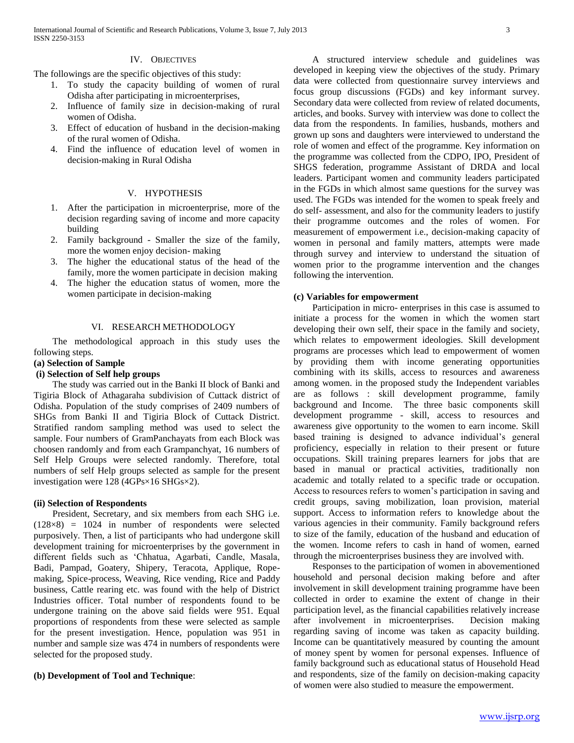#### IV. OBJECTIVES

The followings are the specific objectives of this study:

- 1. To study the capacity building of women of rural Odisha after participating in microenterprises,
- 2. Influence of family size in decision-making of rural women of Odisha.
- 3. Effect of education of husband in the decision-making of the rural women of Odisha.
- 4. Find the influence of education level of women in decision-making in Rural Odisha

#### V. HYPOTHESIS

- 1. After the participation in microenterprise, more of the decision regarding saving of income and more capacity building
- 2. Family background Smaller the size of the family, more the women enjoy decision- making
- 3. The higher the educational status of the head of the family, more the women participate in decision making
- 4. The higher the education status of women, more the women participate in decision-making

#### VI. RESEARCH METHODOLOGY

 The methodological approach in this study uses the following steps.

# **(a) Selection of Sample**

# **(i) Selection of Self help groups**

 The study was carried out in the Banki II block of Banki and Tigiria Block of Athagaraha subdivision of Cuttack district of Odisha. Population of the study comprises of 2409 numbers of SHGs from Banki II and Tigiria Block of Cuttack District. Stratified random sampling method was used to select the sample. Four numbers of GramPanchayats from each Block was choosen randomly and from each Grampanchyat, 16 numbers of Self Help Groups were selected randomly. Therefore, total numbers of self Help groups selected as sample for the present investigation were 128 (4GPs×16 SHGs×2).

#### **(ii) Selection of Respondents**

 President, Secretary, and six members from each SHG i.e. (128×8) = 1024 in number of respondents were selected purposively. Then, a list of participants who had undergone skill development training for microenterprises by the government in different fields such as "Chhatua, Agarbati, Candle, Masala, Badi, Pampad, Goatery, Shipery, Teracota, Applique, Ropemaking, Spice-process, Weaving, Rice vending, Rice and Paddy business, Cattle rearing etc. was found with the help of District Industries officer. Total number of respondents found to be undergone training on the above said fields were 951. Equal proportions of respondents from these were selected as sample for the present investigation. Hence, population was 951 in number and sample size was 474 in numbers of respondents were selected for the proposed study.

#### **(b) Development of Tool and Technique**:

 A structured interview schedule and guidelines was developed in keeping view the objectives of the study. Primary data were collected from questionnaire survey interviews and focus group discussions (FGDs) and key informant survey. Secondary data were collected from review of related documents, articles, and books. Survey with interview was done to collect the data from the respondents. In families, husbands, mothers and grown up sons and daughters were interviewed to understand the role of women and effect of the programme. Key information on the programme was collected from the CDPO, IPO, President of SHGS federation, programme Assistant of DRDA and local leaders. Participant women and community leaders participated in the FGDs in which almost same questions for the survey was used. The FGDs was intended for the women to speak freely and do self- assessment, and also for the community leaders to justify their programme outcomes and the roles of women. For measurement of empowerment i.e., decision-making capacity of women in personal and family matters, attempts were made through survey and interview to understand the situation of women prior to the programme intervention and the changes following the intervention.

#### **(c) Variables for empowerment**

 Participation in micro- enterprises in this case is assumed to initiate a process for the women in which the women start developing their own self, their space in the family and society, which relates to empowerment ideologies. Skill development programs are processes which lead to empowerment of women by providing them with income generating opportunities combining with its skills, access to resources and awareness among women. in the proposed study the Independent variables are as follows : skill development programme, family background and Income. The three basic components skill development programme - skill, access to resources and awareness give opportunity to the women to earn income. Skill based training is designed to advance individual"s general proficiency, especially in relation to their present or future occupations. Skill training prepares learners for jobs that are based in manual or practical activities, traditionally non academic and totally related to a specific trade or occupation. Access to resources refers to women"s participation in saving and credit groups, saving mobilization, loan provision, material support. Access to information refers to knowledge about the various agencies in their community. Family background refers to size of the family, education of the husband and education of the women. Income refers to cash in hand of women, earned through the microenterprises business they are involved with.

 Responses to the participation of women in abovementioned household and personal decision making before and after involvement in skill development training programme have been collected in order to examine the extent of change in their participation level, as the financial capabilities relatively increase after involvement in microenterprises. Decision making regarding saving of income was taken as capacity building. Income can be quantitatively measured by counting the amount of money spent by women for personal expenses. Influence of family background such as educational status of Household Head and respondents, size of the family on decision-making capacity of women were also studied to measure the empowerment.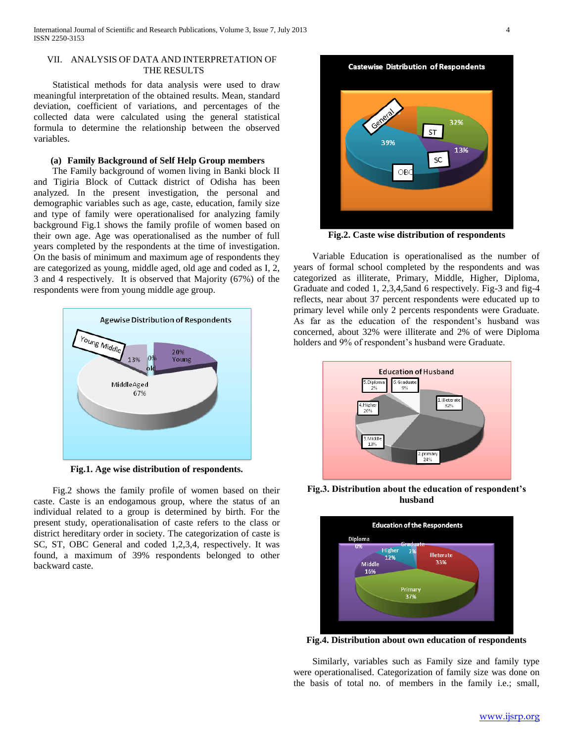# VII. ANALYSIS OF DATA AND INTERPRETATION OF THE RESULTS

 Statistical methods for data analysis were used to draw meaningful interpretation of the obtained results. Mean, standard deviation, coefficient of variations, and percentages of the collected data were calculated using the general statistical formula to determine the relationship between the observed variables.

# **(a) Family Background of Self Help Group members**

 The Family background of women living in Banki block II and Tigiria Block of Cuttack district of Odisha has been analyzed. In the present investigation, the personal and demographic variables such as age, caste, education, family size and type of family were operationalised for analyzing family background Fig.1 shows the family profile of women based on their own age. Age was operationalised as the number of full years completed by the respondents at the time of investigation. On the basis of minimum and maximum age of respondents they are categorized as young, middle aged, old age and coded as I, 2, 3 and 4 respectively. It is observed that Majority (67%) of the respondents were from young middle age group.



**Fig.1. Age wise distribution of respondents.**

 Fig.2 shows the family profile of women based on their caste. Caste is an endogamous group, where the status of an individual related to a group is determined by birth. For the present study, operationalisation of caste refers to the class or district hereditary order in society. The categorization of caste is SC, ST, OBC General and coded 1,2,3,4, respectively. It was found, a maximum of 39% respondents belonged to other backward caste.

**Castewise Distribution of Respondents** 32% **ST** 39% 13% SC  $\bigcirc$ B

**Fig.2. Caste wise distribution of respondents**

 Variable Education is operationalised as the number of years of formal school completed by the respondents and was categorized as illiterate, Primary, Middle, Higher, Diploma, Graduate and coded 1, 2,3,4,5and 6 respectively. Fig-3 and fig-4 reflects, near about 37 percent respondents were educated up to primary level while only 2 percents respondents were Graduate. As far as the education of the respondent's husband was concerned, about 32% were illiterate and 2% of were Diploma holders and 9% of respondent's husband were Graduate.



**Fig.3. Distribution about the education of respondent's husband**



**Fig.4. Distribution about own education of respondents**

 Similarly, variables such as Family size and family type were operationalised. Categorization of family size was done on the basis of total no. of members in the family i.e.; small,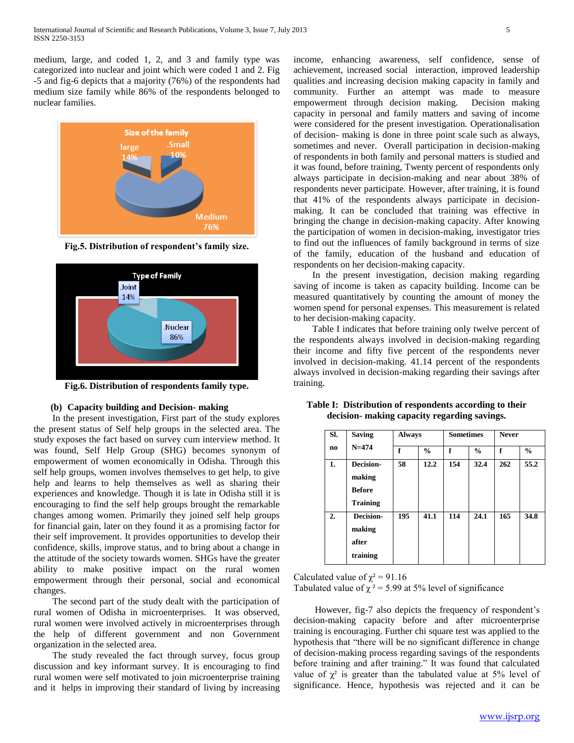medium, large, and coded 1, 2, and 3 and family type was categorized into nuclear and joint which were coded 1 and 2. Fig -5 and fig-6 depicts that a majority (76%) of the respondents had medium size family while 86% of the respondents belonged to nuclear families.



**Fig.5. Distribution of respondent's family size.**



**Fig.6. Distribution of respondents family type.**

# **(b) Capacity building and Decision- making**

 In the present investigation, First part of the study explores the present status of Self help groups in the selected area. The study exposes the fact based on survey cum interview method. It was found, Self Help Group (SHG) becomes synonym of empowerment of women economically in Odisha. Through this self help groups, women involves themselves to get help, to give help and learns to help themselves as well as sharing their experiences and knowledge. Though it is late in Odisha still it is encouraging to find the self help groups brought the remarkable changes among women. Primarily they joined self help groups for financial gain, later on they found it as a promising factor for their self improvement. It provides opportunities to develop their confidence, skills, improve status, and to bring about a change in the attitude of the society towards women. SHGs have the greater ability to make positive impact on the rural women empowerment through their personal, social and economical changes.

 The second part of the study dealt with the participation of rural women of Odisha in microenterprises. It was observed, rural women were involved actively in microenterprises through the help of different government and non Government organization in the selected area.

 The study revealed the fact through survey, focus group discussion and key informant survey. It is encouraging to find rural women were self motivated to join microenterprise training and it helps in improving their standard of living by increasing income, enhancing awareness, self confidence, sense of achievement, increased social interaction, improved leadership qualities and increasing decision making capacity in family and community. Further an attempt was made to measure empowerment through decision making. Decision making capacity in personal and family matters and saving of income were considered for the present investigation. Operationalisation of decision- making is done in three point scale such as always, sometimes and never. Overall participation in decision-making of respondents in both family and personal matters is studied and it was found, before training, Twenty percent of respondents only always participate in decision-making and near about 38% of respondents never participate. However, after training, it is found that 41% of the respondents always participate in decisionmaking. It can be concluded that training was effective in bringing the change in decision-making capacity. After knowing the participation of women in decision-making, investigator tries to find out the influences of family background in terms of size of the family, education of the husband and education of respondents on her decision-making capacity.

 In the present investigation, decision making regarding saving of income is taken as capacity building. Income can be measured quantitatively by counting the amount of money the women spend for personal expenses. This measurement is related to her decision-making capacity.

 Table I indicates that before training only twelve percent of the respondents always involved in decision-making regarding their income and fifty five percent of the respondents never involved in decision-making. 41.14 percent of the respondents always involved in decision-making regarding their savings after training.

| SI. | <b>Saving</b>                                           | <b>Always</b> |               | <b>Sometimes</b> |               | <b>Never</b> |               |  |
|-----|---------------------------------------------------------|---------------|---------------|------------------|---------------|--------------|---------------|--|
| no. | $N = 474$                                               | f             | $\frac{0}{0}$ | f                | $\frac{6}{9}$ | f            | $\frac{6}{9}$ |  |
| 1.  | Decision-<br>making<br><b>Before</b><br><b>Training</b> | 58            | 12.2          | 154              | 32.4          | 262          | 55.2          |  |
| 2.  | Decision-<br>making<br>after<br>training                | 195           | 41.1          | 114              | 24.1          | 165          | 34.8          |  |

**Table I: Distribution of respondents according to their decision- making capacity regarding savings.**

Calculated value of  $\chi^2$  = 91.16

Tabulated value of  $\chi^2$  = 5.99 at 5% level of significance

However, fig-7 also depicts the frequency of respondent's decision-making capacity before and after microenterprise training is encouraging. Further chi square test was applied to the hypothesis that "there will be no significant difference in change of decision-making process regarding savings of the respondents before training and after training." It was found that calculated value of  $\chi^2$  is greater than the tabulated value at 5% level of significance. Hence, hypothesis was rejected and it can be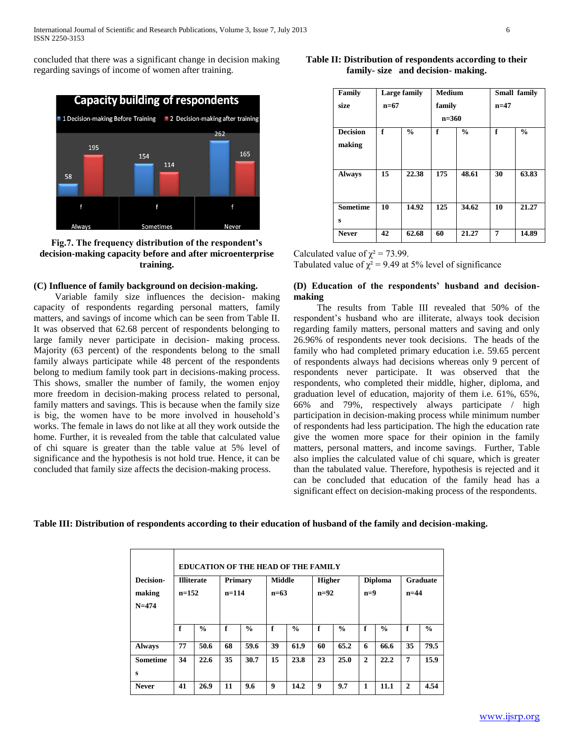concluded that there was a significant change in decision making regarding savings of income of women after training.



**Fig.7. The frequency distribution of the respondent's decision-making capacity before and after microenterprise training.**

# **(C) Influence of family background on decision-making.**

 Variable family size influences the decision- making capacity of respondents regarding personal matters, family matters, and savings of income which can be seen from Table II. It was observed that 62.68 percent of respondents belonging to large family never participate in decision- making process. Majority (63 percent) of the respondents belong to the small family always participate while 48 percent of the respondents belong to medium family took part in decisions-making process. This shows, smaller the number of family, the women enjoy more freedom in decision-making process related to personal, family matters and savings. This is because when the family size is big, the women have to be more involved in household"s works. The female in laws do not like at all they work outside the home. Further, it is revealed from the table that calculated value of chi square is greater than the table value at 5% level of significance and the hypothesis is not hold true. Hence, it can be concluded that family size affects the decision-making process.

| Family                    |        | <b>Large family</b> | <b>Medium</b> |               | Small family<br>$n=47$ |               |  |
|---------------------------|--------|---------------------|---------------|---------------|------------------------|---------------|--|
| size                      | $n=67$ |                     | family        |               |                        |               |  |
|                           |        |                     | $n = 360$     |               |                        |               |  |
| <b>Decision</b><br>making | f      | $\frac{0}{0}$       | f             | $\frac{0}{0}$ | f                      | $\frac{0}{0}$ |  |
| <b>Always</b>             | 15     | 22.38               | 175           | 48.61         | 30                     | 63.83         |  |
| <b>Sometime</b><br>S      | 10     | 14.92               | 125           | 34.62         | 10                     | 21.27         |  |

**Never 42 62.68 60 21.27 7 14.89**

**Table II: Distribution of respondents according to their family- size and decision- making.**

Calculated value of  $\chi^2$  = 73.99.

Tabulated value of  $\chi^2$  = 9.49 at 5% level of significance

# **(D) Education of the respondents' husband and decisionmaking**

 The results from Table III revealed that 50% of the respondent"s husband who are illiterate, always took decision regarding family matters, personal matters and saving and only 26.96% of respondents never took decisions. The heads of the family who had completed primary education i.e. 59.65 percent of respondents always had decisions whereas only 9 percent of respondents never participate. It was observed that the respondents, who completed their middle, higher, diploma, and graduation level of education, majority of them i.e. 61%, 65%, 66% and 79%, respectively always participate / high participation in decision-making process while minimum number of respondents had less participation. The high the education rate give the women more space for their opinion in the family matters, personal matters, and income savings. Further, Table also implies the calculated value of chi square, which is greater than the tabulated value. Therefore, hypothesis is rejected and it can be concluded that education of the family head has a significant effect on decision-making process of the respondents.

**Table III: Distribution of respondents according to their education of husband of the family and decision-making.**

| <b>EDUCATION OF THE HEAD OF THE FAMILY</b> |                   |               |         |               |               |               |               |               |                |               |              |               |
|--------------------------------------------|-------------------|---------------|---------|---------------|---------------|---------------|---------------|---------------|----------------|---------------|--------------|---------------|
| <b>Decision-</b>                           | <b>Illiterate</b> |               | Primary |               | <b>Middle</b> |               | <b>Higher</b> |               | <b>Diploma</b> |               | Graduate     |               |
| making                                     | $n=152$           |               | $n=114$ |               | $n=63$        |               | $n=92$        |               | $n=9$          |               | $n=44$       |               |
| $N = 474$                                  |                   |               |         |               |               |               |               |               |                |               |              |               |
|                                            |                   |               |         |               |               |               |               |               |                |               |              |               |
|                                            | f                 | $\frac{0}{0}$ | f       | $\frac{0}{0}$ | f             | $\frac{0}{0}$ | f             | $\frac{0}{0}$ | f              | $\frac{0}{0}$ | f            | $\frac{0}{0}$ |
| <b>Always</b>                              | 77                | 50.6          | 68      | 59.6          | 39            | 61.9          | 60            | 65.2          | 6              | 66.6          | 35           | 79.5          |
| <b>Sometime</b>                            | 34                | 22.6          | 35      | 30.7          | 15            | 23.8          | 23            | 25.0          | $\mathbf{2}$   | 22.2          | 7            | 15.9          |
| S                                          |                   |               |         |               |               |               |               |               |                |               |              |               |
| <b>Never</b>                               | 41                | 26.9          | 11      | 9.6           | 9             | 14.2          | 9             | 9.7           | 1              | 11.1          | $\mathbf{2}$ | 4.54          |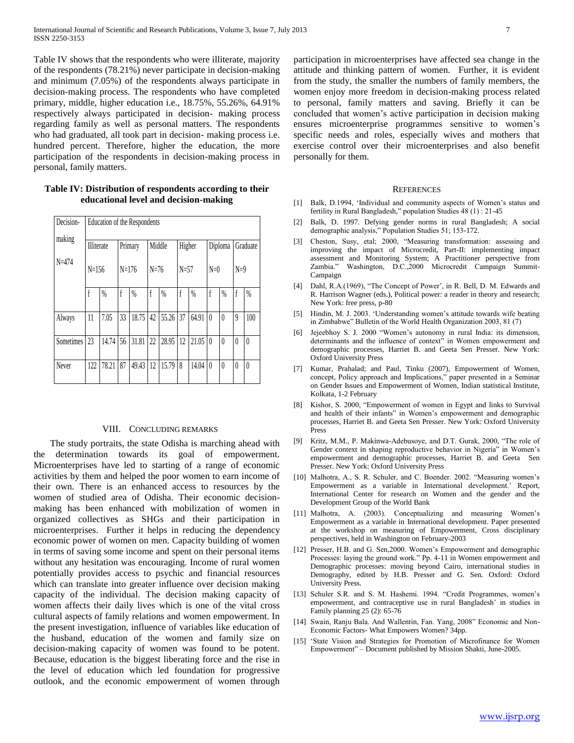Table IV shows that the respondents who were illiterate, majority of the respondents (78.21%) never participate in decision-making and minimum (7.05%) of the respondents always participate in decision-making process. The respondents who have completed primary, middle, higher education i.e., 18.75%, 55.26%, 64.91% respectively always participated in decision- making process regarding family as well as personal matters. The respondents who had graduated, all took part in decision- making process i.e. hundred percent. Therefore, higher the education, the more participation of the respondents in decision-making process in personal, family matters.

| Decision- | Education of the Respondents |       |         |       |          |       |          |       |          |          |          |          |
|-----------|------------------------------|-------|---------|-------|----------|-------|----------|-------|----------|----------|----------|----------|
| making    | Illiterate                   |       | Primary |       | Middle   |       | Higher   |       | Diploma  |          | Graduate |          |
| $N = 474$ | $N=156$                      |       | $N=176$ |       | $N = 76$ |       | $N = 57$ |       | $N=0$    |          | $N=9$    |          |
|           | f                            | %     | f       | $\%$  | f        | $\%$  | f        | $\%$  | f        | %        | f        | $\%$     |
| Always    | 11                           | 7.05  | 33      | 18.75 | 42       | 55.26 | 37       | 64.91 | $\theta$ | $\theta$ | 9        | 100      |
| Sometimes | 23                           | 14.74 | 56      | 31.81 | 22       | 28.95 | 12       | 21.05 | $\theta$ | $\theta$ | $\theta$ | $\theta$ |
| Never     | 122                          | 78.21 | 87      | 49.43 | 12       | 15.79 | 8        | 14.04 | $\theta$ | $\theta$ | $\theta$ | $\theta$ |

**Table IV: Distribution of respondents according to their educational level and decision-making**

#### VIII. CONCLUDING REMARKS

 The study portraits, the state Odisha is marching ahead with the determination towards its goal of empowerment. Microenterprises have led to starting of a range of economic activities by them and helped the poor women to earn income of their own. There is an enhanced access to resources by the women of studied area of Odisha. Their economic decisionmaking has been enhanced with mobilization of women in organized collectives as SHGs and their participation in microenterprises. Further it helps in reducing the dependency economic power of women on men. Capacity building of women in terms of saving some income and spent on their personal items without any hesitation was encouraging. Income of rural women potentially provides access to psychic and financial resources which can translate into greater influence over decision making capacity of the individual. The decision making capacity of women affects their daily lives which is one of the vital cross cultural aspects of family relations and women empowerment. In the present investigation, influence of variables like education of the husband, education of the women and family size on decision-making capacity of women was found to be potent. Because, education is the biggest liberating force and the rise in the level of education which led foundation for progressive outlook, and the economic empowerment of women through

participation in microenterprises have affected sea change in the attitude and thinking pattern of women. Further, it is evident from the study, the smaller the numbers of family members, the women enjoy more freedom in decision-making process related to personal, family matters and saving. Briefly it can be concluded that women"s active participation in decision making ensures microenterprise programmes sensitive to women"s specific needs and roles, especially wives and mothers that exercise control over their microenterprises and also benefit personally for them.

#### **REFERENCES**

- [1] Balk, D.1994, 'Individual and community aspects of Women's status and fertility in Rural Bangladesh," population Studies 48 (1) : 21-45
- [2] Balk, D. 1997. Defying gender norms in rural Bangladesh; A social demographic analysis," Population Studies 51; 153-172.
- [3] Cheston, Susy, etal; 2000, "Measuring transformation: assessing and improving the impact of Microcredit, Part-II: implementing impact assessment and Monitoring System; A Practitioner perspective from Zambia." Washington, D.C.,2000 Microcredit Campaign Summit-Campaign
- [4] Dahl, R.A.(1969), "The Concept of Power', in R. Bell, D. M. Edwards and R. Harrison Wagner (eds.), Political power: a reader in theory and research; New York: free press, p-80
- [5] Hindin, M. J. 2003. 'Understanding women's attitude towards wife beating in Zimbabwe" Bulletin of the World Health Organization 2003, 81 (7)
- [6] Jejeebhoy S. J. 2000 "Women"s autonomy in rural India: its dimension, determinants and the influence of context" in Women empowerment and demographic processes, Harriet B. and Geeta Sen Presser. New York: Oxford University Press
- [7] Kumar, Prahalad; and Paul, Tinku (2007), Empowerment of Women, concept, Policy approach and Implications," paper presented in a Seminar on Gender Issues and Empowerment of Women, Indian statistical Institute, Kolkata, 1-2 February
- [8] Kishor, S. 2000, "Empowerment of women in Egypt and links to Survival and health of their infants" in Women"s empowerment and demographic processes, Harriet B. and Geeta Sen Presser. New York: Oxford University Press
- [9] Kritz, M.M., P. Makinwa-Adebusoye, and D.T. Gurak, 2000, "The role of Gender context in shaping reproductive behavior in Nigeria" in Women"s empowerment and demographic processes, Harriet B. and Geeta Sen Presser. New York: Oxford University Press
- [10] Malhotra, A., S. R. Schuler, and C. Boender. 2002. "Measuring women's Empowerment as a variable in International development." Report, International Center for research on Women and the gender and the Development Group of the World Bank
- [11] Malhotra, A. (2003). Conceptualizing and measuring Women's Empowerment as a variable in International development. Paper presented at the workshop on measuring of Empowerment, Cross disciplinary perspectives, held in Washington on February-2003
- [12] Presser, H.B. and G. Sen, 2000. Women's Empowerment and demographic Processes: laying the ground work." Pp. 4-11 in Women empowerment and Demographic processes: moving beyond Cairo, international studies in Demography, edited by H.B. Presser and G. Sen. Oxford: Oxford University Press.
- [13] Schuler S.R. and S. M. Hashemi. 1994. "Credit Programmes, women's empowerment, and contraceptive use in rural Bangladesh" in studies in Family planning 25 (2): 65-76
- [14] Swain, Ranju Bala. And Wallentin, Fan. Yang, 2008" Economic and Non-Economic Factors- What Empowers Women? 34pp.
- [15] 'State Vision and Strategies for Promotion of Microfinance for Women Empowerment" – Document published by Mission Shakti, June-2005.